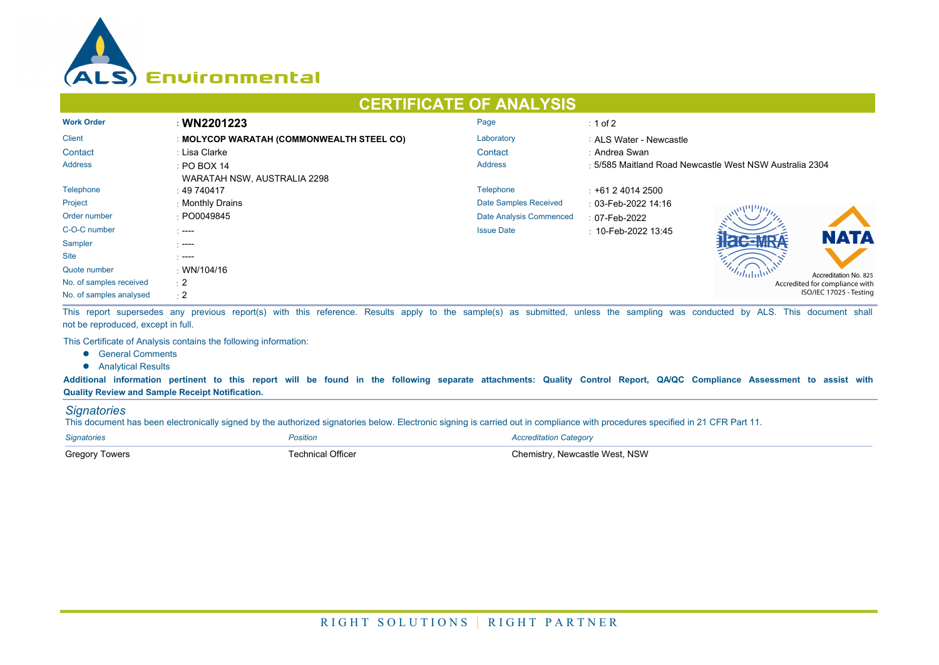

## **CERTIFICATE OF ANALYSIS**

| <b>Work Order</b>       | : WN2201223                               | Page                    | $\div$ 1 of 2                                           |  |  |  |
|-------------------------|-------------------------------------------|-------------------------|---------------------------------------------------------|--|--|--|
| <b>Client</b>           | : MOLYCOP WARATAH (COMMONWEALTH STEEL CO) | Laboratory              | : ALS Water - Newcastle                                 |  |  |  |
| Contact                 | : Lisa Clarke                             | Contact                 | : Andrea Swan                                           |  |  |  |
| <b>Address</b>          | $\div$ PO BOX 14                          | <b>Address</b>          | : 5/585 Maitland Road Newcastle West NSW Australia 2304 |  |  |  |
|                         | WARATAH NSW, AUSTRALIA 2298               |                         |                                                         |  |  |  |
| Telephone               | : 49740417                                | Telephone               | $\div$ +61 2 4014 2500                                  |  |  |  |
| Project                 | : Monthly Drains                          | Date Samples Received   | : 03-Feb-2022 14:16                                     |  |  |  |
| Order number            | : PO0049845                               | Date Analysis Commenced | $: 07$ -Feb-2022                                        |  |  |  |
| C-O-C number            | $\sim$ ----                               | <b>Issue Date</b>       | $\pm$ 10-Feb-2022 13:45<br><b>NATA</b>                  |  |  |  |
| Sampler                 | - ----                                    |                         |                                                         |  |  |  |
| <b>Site</b>             | - ----                                    |                         |                                                         |  |  |  |
| Quote number            | $\cdot$ WN/104/16                         |                         | Accreditation No. 825                                   |  |  |  |
| No. of samples received | $\div 2$                                  |                         | Accredited for compliance with                          |  |  |  |
| No. of samples analysed | $\div 2$                                  |                         | ISO/IEC 17025 - Testing                                 |  |  |  |

This report supersedes any previous report(s) with this reference. Results apply to the sample(s) as submitted, unless the sampling was conducted by ALS. This document shall not be reproduced, except in full.

This Certificate of Analysis contains the following information:

- **•** General Comments
- **•** Analytical Results

**Additional information pertinent to this report will be found in the following separate attachments: Quality Control Report, QA/QC Compliance Assessment to assist with Quality Review and Sample Receipt Notification.**

## *Signatories*

This document has been electronically signed by the authorized signatories below. Electronic signing is carried out in compliance with procedures specified in 21 CFR Part 11.

| <b>Signatories</b>    | <i><b>'osition</b></i> | Accreditation Category          |
|-----------------------|------------------------|---------------------------------|
| <b>Gregory Towers</b> | echnical Officer       | วิhemistrv. Newcastle West. NSW |